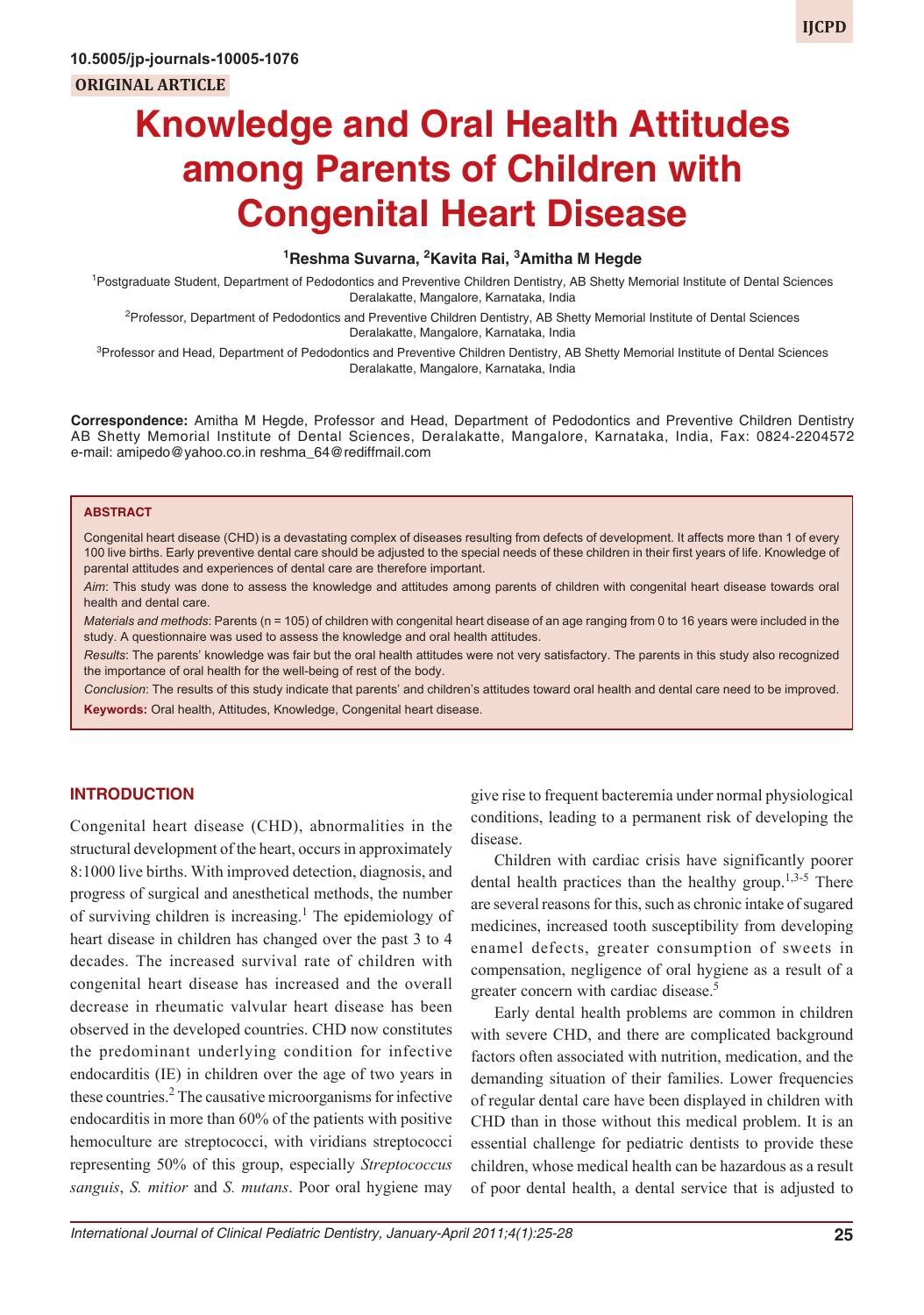## **1 Reshma Suvarna, 2 Kavita Rai, <sup>3</sup> Amitha M Hegde**

<sup>1</sup> Postgraduate Student, Department of Pedodontics and Preventive Children Dentistry, AB Shetty Memorial Institute of Dental Sciences Deralakatte, Mangalore, Karnataka, India

<sup>2</sup>Professor, Department of Pedodontics and Preventive Children Dentistry, AB Shetty Memorial Institute of Dental Sciences Deralakatte, Mangalore, Karnataka, India

<sup>3</sup>Professor and Head, Department of Pedodontics and Preventive Children Dentistry, AB Shetty Memorial Institute of Dental Sciences Deralakatte, Mangalore, Karnataka, India

**Correspondence:** Amitha M Hegde, Professor and Head, Department of Pedodontics and Preventive Children Dentistry AB Shetty Memorial Institute of Dental Sciences, Deralakatte, Mangalore, Karnataka, India, Fax: 0824-2204572 e-mail: amipedo@yahoo.co.in reshma\_64@rediffmail.com

#### **ABSTRACT**

Congenital heart disease (CHD) is a devastating complex of diseases resulting from defects of development. It affects more than 1 of every 100 live births. Early preventive dental care should be adjusted to the special needs of these children in their first years of life. Knowledge of parental attitudes and experiences of dental care are therefore important.

*Aim*: This study was done to assess the knowledge and attitudes among parents of children with congenital heart disease towards oral health and dental care.

*Materials and methods*: Parents (n = 105) of children with congenital heart disease of an age ranging from 0 to 16 years were included in the study. A questionnaire was used to assess the knowledge and oral health attitudes.

*Results*: The parents' knowledge was fair but the oral health attitudes were not very satisfactory. The parents in this study also recognized the importance of oral health for the well-being of rest of the body.

*Conclusion*: The results of this study indicate that parents' and children's attitudes toward oral health and dental care need to be improved. **Keywords:** Oral health, Attitudes, Knowledge, Congenital heart disease.

#### **INTRODUCTION**

Congenital heart disease (CHD), abnormalities in the structural development of the heart, occurs in approximately 8:1000 live births. With improved detection, diagnosis, and progress of surgical and anesthetical methods, the number of surviving children is increasing.<sup>1</sup> The epidemiology of heart disease in children has changed over the past 3 to 4 decades. The increased survival rate of children with congenital heart disease has increased and the overall decrease in rheumatic valvular heart disease has been observed in the developed countries. CHD now constitutes the predominant underlying condition for infective endocarditis (IE) in children over the age of two years in these countries.<sup>2</sup> The causative microorganisms for infective endocarditis in more than 60% of the patients with positive hemoculture are streptococci, with viridians streptococci representing 50% of this group, especially *Streptococcus sanguis*, *S. mitior* and *S. mutans*. Poor oral hygiene may give rise to frequent bacteremia under normal physiological conditions, leading to a permanent risk of developing the disease.

Children with cardiac crisis have significantly poorer dental health practices than the healthy group.<sup>1,3-5</sup> There are several reasons for this, such as chronic intake of sugared medicines, increased tooth susceptibility from developing enamel defects, greater consumption of sweets in compensation, negligence of oral hygiene as a result of a greater concern with cardiac disease.<sup>5</sup>

Early dental health problems are common in children with severe CHD, and there are complicated background factors often associated with nutrition, medication, and the demanding situation of their families. Lower frequencies of regular dental care have been displayed in children with CHD than in those without this medical problem. It is an essential challenge for pediatric dentists to provide these children, whose medical health can be hazardous as a result of poor dental health, a dental service that is adjusted to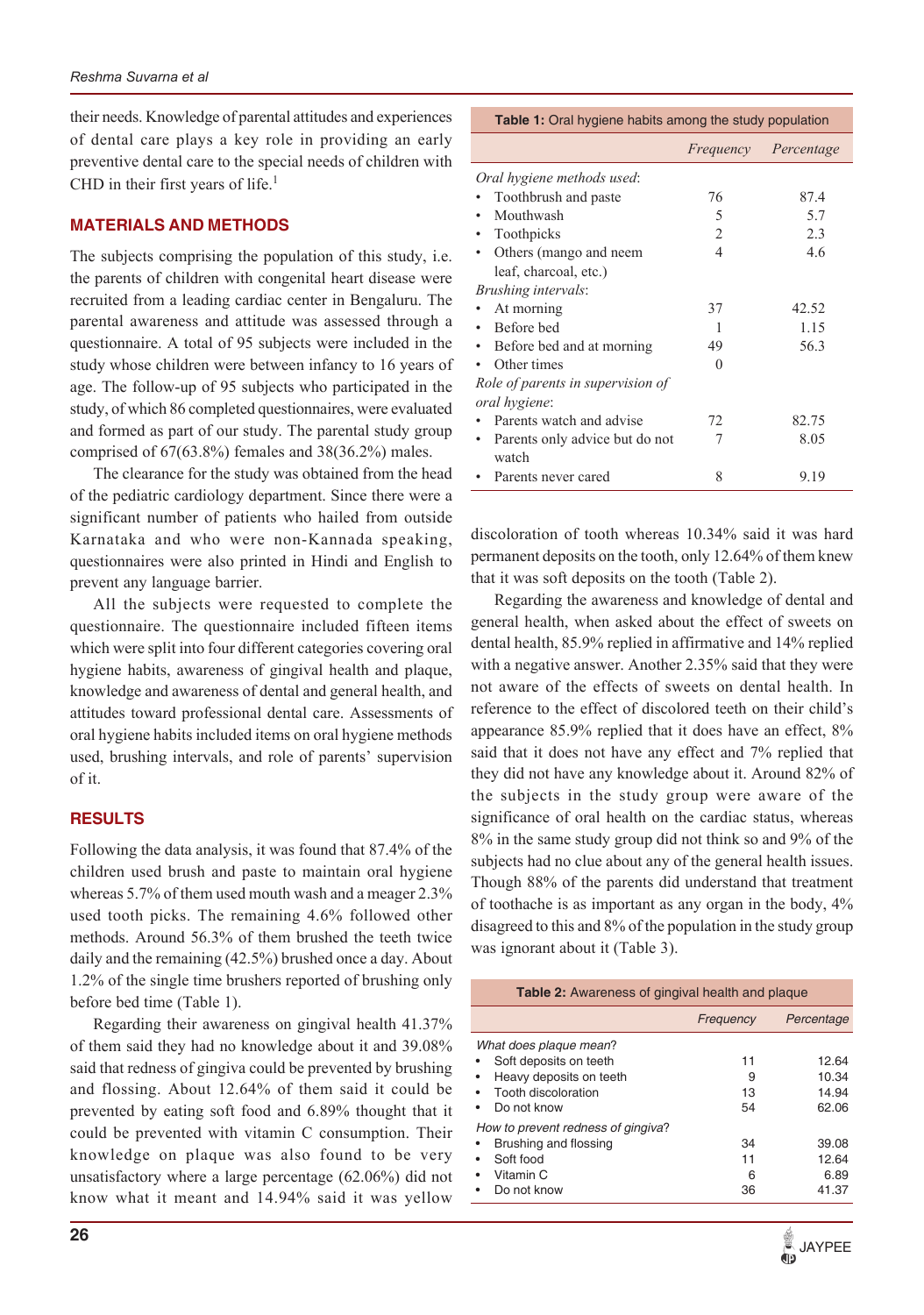their needs. Knowledge of parental attitudes and experiences of dental care plays a key role in providing an early preventive dental care to the special needs of children with CHD in their first years of life. $<sup>1</sup>$ </sup>

# **MATERIALS AND METHODS**

The subjects comprising the population of this study, i.e. the parents of children with congenital heart disease were recruited from a leading cardiac center in Bengaluru. The parental awareness and attitude was assessed through a questionnaire. A total of 95 subjects were included in the study whose children were between infancy to 16 years of age. The follow-up of 95 subjects who participated in the study, of which 86 completed questionnaires, were evaluated and formed as part of our study. The parental study group comprised of 67(63.8%) females and 38(36.2%) males.

The clearance for the study was obtained from the head of the pediatric cardiology department. Since there were a significant number of patients who hailed from outside Karnataka and who were non-Kannada speaking, questionnaires were also printed in Hindi and English to prevent any language barrier.

All the subjects were requested to complete the questionnaire. The questionnaire included fifteen items which were split into four different categories covering oral hygiene habits, awareness of gingival health and plaque, knowledge and awareness of dental and general health, and attitudes toward professional dental care. Assessments of oral hygiene habits included items on oral hygiene methods used, brushing intervals, and role of parents' supervision of it.

## **RESULTS**

Following the data analysis, it was found that 87.4% of the children used brush and paste to maintain oral hygiene whereas 5.7% of them used mouth wash and a meager 2.3% used tooth picks. The remaining 4.6% followed other methods. Around 56.3% of them brushed the teeth twice daily and the remaining (42.5%) brushed once a day. About 1.2% of the single time brushers reported of brushing only before bed time (Table 1).

Regarding their awareness on gingival health 41.37% of them said they had no knowledge about it and 39.08% said that redness of gingiva could be prevented by brushing and flossing. About 12.64% of them said it could be prevented by eating soft food and 6.89% thought that it could be prevented with vitamin C consumption. Their knowledge on plaque was also found to be very unsatisfactory where a large percentage (62.06%) did not know what it meant and 14.94% said it was yellow

|                                   |                | Frequency Percentage |
|-----------------------------------|----------------|----------------------|
| Oral hygiene methods used:        |                |                      |
| Toothbrush and paste              | 76             | 87.4                 |
| Mouthwash                         | 5              | 5.7                  |
| Toothpicks                        | $\mathfrak{D}$ | 2.3                  |
| Others (mango and neem            | 4              | 46                   |
| leaf, charcoal, etc.)             |                |                      |
| Brushing intervals:               |                |                      |
| At morning                        | 37             | 42.52                |
| Before bed                        | 1              | 1.15                 |
| Before bed and at morning         | 49             | 56.3                 |
| Other times                       | 0              |                      |
| Role of parents in supervision of |                |                      |
| oral hygiene:                     |                |                      |
| Parents watch and advise          | 72             | 82.75                |
| Parents only advice but do not    | 7              | 8.05                 |
| watch                             |                |                      |
| Parents never cared               | 8              | 9.19                 |

**Table 1:** Oral hygiene habits among the study population

discoloration of tooth whereas 10.34% said it was hard permanent deposits on the tooth, only 12.64% of them knew that it was soft deposits on the tooth (Table 2).

Regarding the awareness and knowledge of dental and general health, when asked about the effect of sweets on dental health, 85.9% replied in affirmative and 14% replied with a negative answer. Another 2.35% said that they were not aware of the effects of sweets on dental health. In reference to the effect of discolored teeth on their child's appearance 85.9% replied that it does have an effect, 8% said that it does not have any effect and 7% replied that they did not have any knowledge about it. Around 82% of the subjects in the study group were aware of the significance of oral health on the cardiac status, whereas 8% in the same study group did not think so and 9% of the subjects had no clue about any of the general health issues. Though 88% of the parents did understand that treatment of toothache is as important as any organ in the body, 4% disagreed to this and 8% of the population in the study group was ignorant about it (Table 3).

| <b>Table 2:</b> Awareness of gingival health and plaque                                                           |                     |                                  |  |
|-------------------------------------------------------------------------------------------------------------------|---------------------|----------------------------------|--|
|                                                                                                                   | Frequency           | Percentage                       |  |
| What does plaque mean?<br>Soft deposits on teeth<br>Heavy deposits on teeth<br>Tooth discoloration<br>Do not know | 11<br>9<br>13<br>54 | 12.64<br>10.34<br>14.94<br>62.06 |  |
| How to prevent redness of gingiva?<br>Brushing and flossing<br>Soft food<br>Vitamin C<br>Do not know              | 34<br>11<br>6<br>36 | 39.08<br>12.64<br>6.89<br>41.37  |  |

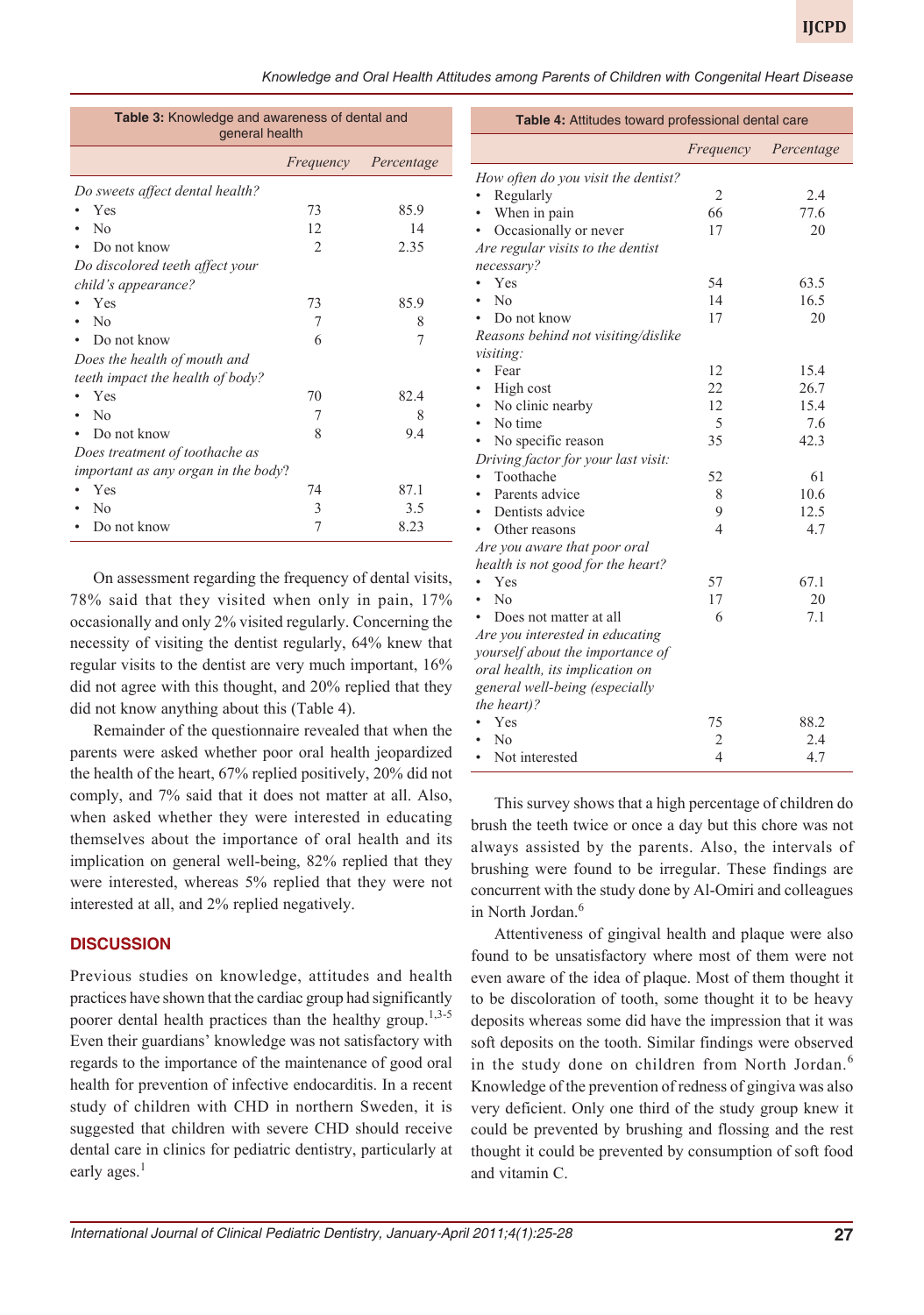*Knowledge and Oral Health Attitudes among Parents of Children with Congenital Heart Disease*

| <b>Table 3:</b> Knowledge and awareness of dental and<br>general health |                |            |  |  |
|-------------------------------------------------------------------------|----------------|------------|--|--|
|                                                                         | Frequency      | Percentage |  |  |
| Do sweets affect dental health?                                         |                |            |  |  |
| Yes                                                                     | 73             | 85.9       |  |  |
| $\rm N_{0}$                                                             | 12             | 14         |  |  |
| Do not know                                                             | $\overline{2}$ | 2.35       |  |  |
| Do discolored teeth affect your                                         |                |            |  |  |
| child's appearance?                                                     |                |            |  |  |
| Yes                                                                     | 73             | 85.9       |  |  |
| No                                                                      | 7              | 8          |  |  |
| Do not know                                                             | 6              | 7          |  |  |
| Does the health of mouth and                                            |                |            |  |  |
| teeth impact the health of body?                                        |                |            |  |  |
| Yes                                                                     | 70             | 82.4       |  |  |
| No                                                                      | 7              | 8          |  |  |
| Do not know                                                             | 8              | 9.4        |  |  |
| Does treatment of toothache as                                          |                |            |  |  |
| important as any organ in the body?                                     |                |            |  |  |
| Yes                                                                     | 74             | 87.1       |  |  |
| No                                                                      | 3              | 3.5        |  |  |
| Do not know                                                             | 7              | 8.23       |  |  |

On assessment regarding the frequency of dental visits, 78% said that they visited when only in pain, 17% occasionally and only 2% visited regularly. Concerning the necessity of visiting the dentist regularly, 64% knew that regular visits to the dentist are very much important, 16% did not agree with this thought, and 20% replied that they did not know anything about this (Table 4).

Remainder of the questionnaire revealed that when the parents were asked whether poor oral health jeopardized the health of the heart, 67% replied positively, 20% did not comply, and 7% said that it does not matter at all. Also, when asked whether they were interested in educating themselves about the importance of oral health and its implication on general well-being, 82% replied that they were interested, whereas 5% replied that they were not interested at all, and 2% replied negatively.

## **DISCUSSION**

Previous studies on knowledge, attitudes and health practices have shown that the cardiac group had significantly poorer dental health practices than the healthy group.<sup>1,3-5</sup> Even their guardians' knowledge was not satisfactory with regards to the importance of the maintenance of good oral health for prevention of infective endocarditis. In a recent study of children with CHD in northern Sweden, it is suggested that children with severe CHD should receive dental care in clinics for pediatric dentistry, particularly at early ages.<sup>1</sup>

| Table 4: Attitudes toward professional dental care |                |            |  |
|----------------------------------------------------|----------------|------------|--|
|                                                    | Frequency      | Percentage |  |
| How often do you visit the dentist?                |                |            |  |
| Regularly                                          | 2              | 2.4        |  |
| When in pain<br>$\bullet$                          | 66             | 77.6       |  |
| Occasionally or never                              | 17             | 20         |  |
| Are regular visits to the dentist                  |                |            |  |
| necessary?                                         |                |            |  |
| Yes                                                | 54             | 63.5       |  |
| No                                                 | 14             | 16.5       |  |
| Do not know                                        | 17             | 20         |  |
| Reasons behind not visiting/dislike                |                |            |  |
| visiting:                                          |                |            |  |
| Fear                                               | 12             | 15.4       |  |
| High cost                                          | 22             | 26.7       |  |
| No clinic nearby<br>$\bullet$                      | 12             | 15.4       |  |
| No time<br>$\bullet$                               | 5              | 7.6        |  |
| No specific reason                                 | 35             | 42.3       |  |
| Driving factor for your last visit:                |                |            |  |
| Toothache                                          | 52             | 61         |  |
| Parents advice<br>$\bullet$                        | 8              | 10.6       |  |
| Dentists advice<br>٠                               | 9              | 12.5       |  |
| Other reasons<br>$\bullet$                         | 4              | 4.7        |  |
| Are you aware that poor oral                       |                |            |  |
| health is not good for the heart?                  |                |            |  |
| Yes                                                | 57             | 67.1       |  |
| $\rm N_{0}$                                        | 17             | 20         |  |
| Does not matter at all                             | 6              | 7.1        |  |
| Are you interested in educating                    |                |            |  |
| yourself about the importance of                   |                |            |  |
| oral health, its implication on                    |                |            |  |
| general well-being (especially                     |                |            |  |
| the heart)?                                        |                |            |  |
| Yes                                                | 75             | 88.2       |  |
| N <sub>0</sub>                                     | $\overline{c}$ | 2.4        |  |
| Not interested                                     | $\overline{4}$ | 4.7        |  |

This survey shows that a high percentage of children do brush the teeth twice or once a day but this chore was not always assisted by the parents. Also, the intervals of brushing were found to be irregular. These findings are concurrent with the study done by Al-Omiri and colleagues in North Jordan.<sup>6</sup>

Attentiveness of gingival health and plaque were also found to be unsatisfactory where most of them were not even aware of the idea of plaque. Most of them thought it to be discoloration of tooth, some thought it to be heavy deposits whereas some did have the impression that it was soft deposits on the tooth. Similar findings were observed in the study done on children from North Jordan.<sup>6</sup> Knowledge of the prevention of redness of gingiva was also very deficient. Only one third of the study group knew it could be prevented by brushing and flossing and the rest thought it could be prevented by consumption of soft food and vitamin C.